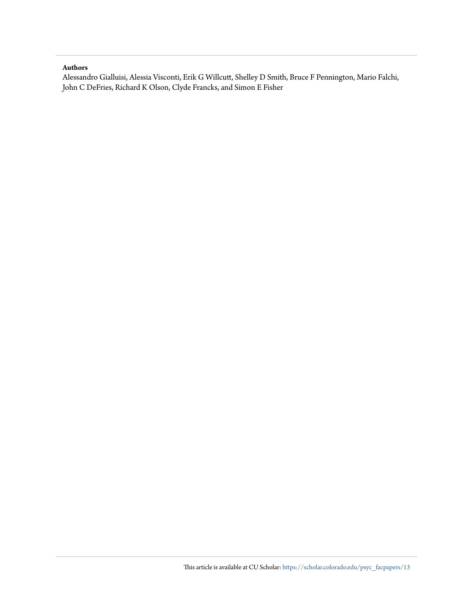# **Authors**

Alessandro Gialluisi, Alessia Visconti, Erik G Willcutt, Shelley D Smith, Bruce F Pennington, Mario Falchi, John C DeFries, Richard K Olson, Clyde Francks, and Simon E Fisher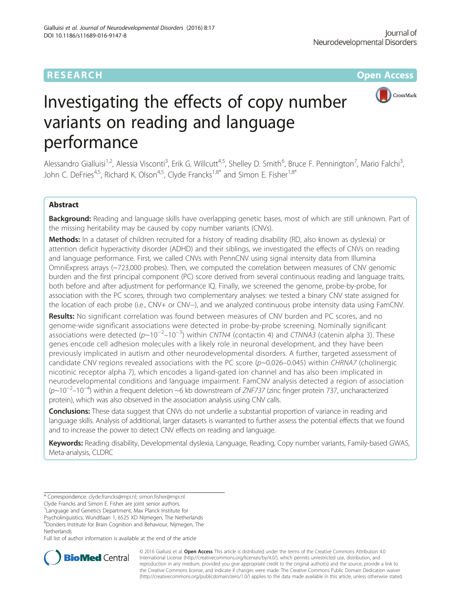

# Investigating the effects of copy number variants on reading and language performance

Alessandro Gialluisi<sup>1,2</sup>, Alessia Visconti<sup>3</sup>, Erik G. Willcutt<sup>4,5</sup>, Shelley D. Smith<sup>6</sup>, Bruce F. Pennington<sup>7</sup>, Mario Falchi<sup>3</sup> , John C. DeFries<sup>4,5</sup>, Richard K. Olson<sup>4,5</sup>, Clyde Francks<sup>1,8\*</sup> and Simon E. Fisher<sup>1,8\*</sup>

# Abstract

Background: Reading and language skills have overlapping genetic bases, most of which are still unknown. Part of the missing heritability may be caused by copy number variants (CNVs).

Methods: In a dataset of children recruited for a history of reading disability (RD, also known as dyslexia) or attention deficit hyperactivity disorder (ADHD) and their siblings, we investigated the effects of CNVs on reading and language performance. First, we called CNVs with PennCNV using signal intensity data from Illumina OmniExpress arrays (~723,000 probes). Then, we computed the correlation between measures of CNV genomic burden and the first principal component (PC) score derived from several continuous reading and language traits, both before and after adjustment for performance IQ. Finally, we screened the genome, probe-by-probe, for association with the PC scores, through two complementary analyses: we tested a binary CNV state assigned for the location of each probe (i.e., CNV+ or CNV−), and we analyzed continuous probe intensity data using FamCNV.

Results: No significant correlation was found between measures of CNV burden and PC scores, and no genome-wide significant associations were detected in probe-by-probe screening. Nominally significant ossociations were detected (p~10<sup>-2</sup>–10<sup>-3</sup>) within CNTN4 (contactin 4) and CTNNA3 (catenin alpha 3). These genes encode cell adhesion molecules with a likely role in neuronal development, and they have been previously implicated in autism and other neurodevelopmental disorders. A further, targeted assessment of candidate CNV regions revealed associations with the PC score  $(p\sim 0.026-0.045)$  within CHRNA7 (cholinergic nicotinic receptor alpha 7), which encodes a ligand-gated ion channel and has also been implicated in neurodevelopmental conditions and language impairment. FamCNV analysis detected a region of association (p~10−<sup>2</sup> –10−<sup>4</sup> ) within a frequent deletion ~6 kb downstream of ZNF737 (zinc finger protein 737, uncharacterized protein), which was also observed in the association analysis using CNV calls.

**Conclusions:** These data suggest that CNVs do not underlie a substantial proportion of variance in reading and language skills. Analysis of additional, larger datasets is warranted to further assess the potential effects that we found and to increase the power to detect CNV effects on reading and language.

Keywords: Reading disability, Developmental dyslexia, Language, Reading, Copy number variants, Family-based GWAS, Meta-analysis, CLDRC

Clyde Francks and Simon E. Fisher are joint senior authors.

<sup>1</sup> Language and Genetics Department, Max Planck Institute for

Psycholinguistics, Wundtlaan 1, 6525 XD Nijmegen, The Netherlands 8 Donders Institute for Brain Cognition and Behaviour, Nijmegen, The

Netherlands

Full list of author information is available at the end of the article



© 2016 Gialluisi et al. Open Access This article is distributed under the terms of the Creative Commons Attribution 4.0 International License [\(http://creativecommons.org/licenses/by/4.0/](http://creativecommons.org/licenses/by/4.0/)), which permits unrestricted use, distribution, and reproduction in any medium, provided you give appropriate credit to the original author(s) and the source, provide a link to the Creative Commons license, and indicate if changes were made. The Creative Commons Public Domain Dedication waiver [\(http://creativecommons.org/publicdomain/zero/1.0/](http://creativecommons.org/publicdomain/zero/1.0/)) applies to the data made available in this article, unless otherwise stated.

<sup>\*</sup> Correspondence: [clyde.francks@mpi.nl](mailto:clyde.francks@mpi.nl); [simon.fisher@mpi.nl](mailto:simon.fisher@mpi.nl)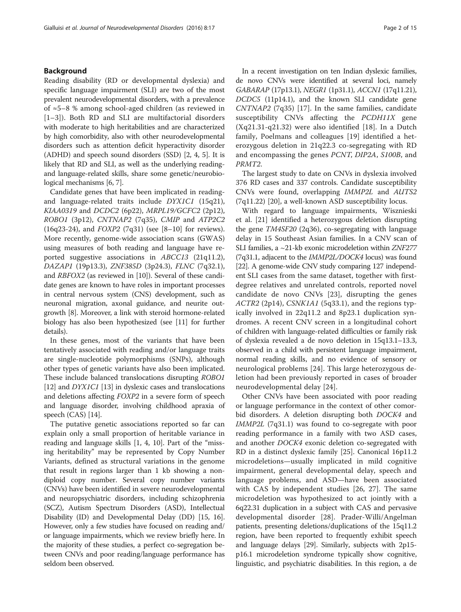# Background

Reading disability (RD or developmental dyslexia) and specific language impairment (SLI) are two of the most prevalent neurodevelopmental disorders, with a prevalence of ≈5–8 % among school-aged children (as reviewed in [1–3]). Both RD and SLI are multifactorial disorders with moderate to high heritabilities and are characterized by high comorbidity, also with other neurodevelopmental disorders such as attention deficit hyperactivity disorder (ADHD) and speech sound disorders (SSD) [2, 4, 5]. It is likely that RD and SLI, as well as the underlying readingand language-related skills, share some genetic/neurobiological mechanisms [6, 7].

Candidate genes that have been implicated in readingand language-related traits include DYX1C1 (15q21), KIAA0319 and DCDC2 (6p22), MRPL19/GCFC2 (2p12), ROBO1 (3p12), CNTNAP2 (7q35), CMIP and ATP2C2 (16q23-24), and FOXP2 (7q31) (see [8–10] for reviews). More recently, genome-wide association scans (GWAS) using measures of both reading and language have reported suggestive associations in ABCC13 (21q11.2), DAZAP1 (19p13.3), ZNF385D (3p24.3), FLNC (7q32.1), and RBFOX2 (as reviewed in [10]). Several of these candidate genes are known to have roles in important processes in central nervous system (CNS) development, such as neuronal migration, axonal guidance, and neurite outgrowth [8]. Moreover, a link with steroid hormone-related biology has also been hypothesized (see [11] for further details).

In these genes, most of the variants that have been tentatively associated with reading and/or language traits are single-nucleotide polymorphisms (SNPs), although other types of genetic variants have also been implicated. These include balanced translocations disrupting ROBO1 [12] and *DYX1C1* [13] in dyslexic cases and translocations and deletions affecting FOXP2 in a severe form of speech and language disorder, involving childhood apraxia of speech (CAS) [14].

The putative genetic associations reported so far can explain only a small proportion of heritable variance in reading and language skills [1, 4, 10]. Part of the "missing heritability" may be represented by Copy Number Variants, defined as structural variations in the genome that result in regions larger than 1 kb showing a nondiploid copy number. Several copy number variants (CNVs) have been identified in severe neurodevelopmental and neuropsychiatric disorders, including schizophrenia (SCZ), Autism Spectrum Disorders (ASD), Intellectual Disability (ID) and Developmental Delay (DD) [15, 16]. However, only a few studies have focused on reading and/ or language impairments, which we review briefly here. In the majority of these studies, a perfect co-segregation between CNVs and poor reading/language performance has seldom been observed.

In a recent investigation on ten Indian dyslexic families, de novo CNVs were identified at several loci, namely GABARAP (17p13.1), NEGR1 (1p31.1), ACCN1 (17q11.21), DCDC5 (11p14.1), and the known SLI candidate gene CNTNAP2 (7q35) [17]. In the same families, candidate susceptibility CNVs affecting the *PCDH11X* gene (Xq21.31-q21.32) were also identified [18]. In a Dutch family, Poelmans and colleagues [19] identified a heterozygous deletion in 21q22.3 co-segregating with RD and encompassing the genes PCNT, DIP2A, S100B, and PRMT2.

The largest study to date on CNVs in dyslexia involved 376 RD cases and 337 controls. Candidate susceptibility CNVs were found, overlapping IMMP2L and AUTS2 (7q11.22) [20], a well-known ASD susceptibility locus.

With regard to language impairments, Wisznieski et al. [21] identified a heterozygous deletion disrupting the gene TM4SF20 (2q36), co-segregating with language delay in 15 Southeast Asian families. In a CNV scan of SLI families, a ~21-kb exonic microdeletion within ZNF277 (7q31.1, adjacent to the IMMP2L/DOCK4 locus) was found [22]. A genome-wide CNV study comparing 127 independent SLI cases from the same dataset, together with firstdegree relatives and unrelated controls, reported novel candidate de novo CNVs [23], disrupting the genes ACTR2 (2p14), CSNK1A1 (5q33.1), and the regions typically involved in 22q11.2 and 8p23.1 duplication syndromes. A recent CNV screen in a longitudinal cohort of children with language-related difficulties or family risk of dyslexia revealed a de novo deletion in 15q13.1–13.3, observed in a child with persistent language impairment, normal reading skills, and no evidence of sensory or neurological problems [24]. This large heterozygous deletion had been previously reported in cases of broader neurodevelopmental delay [24].

Other CNVs have been associated with poor reading or language performance in the context of other comorbid disorders. A deletion disrupting both DOCK4 and IMMP2L (7q31.1) was found to co-segregate with poor reading performance in a family with two ASD cases, and another DOCK4 exonic deletion co-segregated with RD in a distinct dyslexic family [25]. Canonical 16p11.2 microdeletions—usually implicated in mild cognitive impairment, general developmental delay, speech and language problems, and ASD—have been associated with CAS by independent studies [26, 27]. The same microdeletion was hypothesized to act jointly with a 6q22.31 duplication in a subject with CAS and pervasive developmental disorder [28]. Prader-Willi/Angelman patients, presenting deletions/duplications of the 15q11.2 region, have been reported to frequently exhibit speech and language delays [29]. Similarly, subjects with 2p15 p16.1 microdeletion syndrome typically show cognitive, linguistic, and psychiatric disabilities. In this region, a de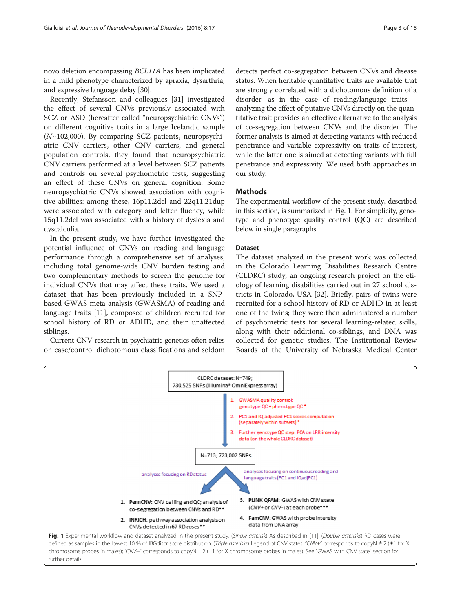novo deletion encompassing BCL11A has been implicated in a mild phenotype characterized by apraxia, dysarthria, and expressive language delay [30].

Recently, Stefansson and colleagues [31] investigated the effect of several CNVs previously associated with SCZ or ASD (hereafter called "neuropsychiatric CNVs") on different cognitive traits in a large Icelandic sample  $(N~102,000)$ . By comparing SCZ patients, neuropsychiatric CNV carriers, other CNV carriers, and general population controls, they found that neuropsychiatric CNV carriers performed at a level between SCZ patients and controls on several psychometric tests, suggesting an effect of these CNVs on general cognition. Some neuropsychiatric CNVs showed association with cognitive abilities: among these, 16p11.2del and 22q11.21dup were associated with category and letter fluency, while 15q11.2del was associated with a history of dyslexia and dyscalculia.

In the present study, we have further investigated the potential influence of CNVs on reading and language performance through a comprehensive set of analyses, including total genome-wide CNV burden testing and two complementary methods to screen the genome for individual CNVs that may affect these traits. We used a dataset that has been previously included in a SNPbased GWAS meta-analysis (GWASMA) of reading and language traits [11], composed of children recruited for school history of RD or ADHD, and their unaffected siblings.

Current CNV research in psychiatric genetics often relies on case/control dichotomous classifications and seldom

detects perfect co-segregation between CNVs and disease status. When heritable quantitative traits are available that are strongly correlated with a dichotomous definition of a disorder—as in the case of reading/language traits— analyzing the effect of putative CNVs directly on the quantitative trait provides an effective alternative to the analysis of co-segregation between CNVs and the disorder. The former analysis is aimed at detecting variants with reduced penetrance and variable expressivity on traits of interest, while the latter one is aimed at detecting variants with full penetrance and expressivity. We used both approaches in our study.

## **Methods**

The experimental workflow of the present study, described in this section, is summarized in Fig. 1. For simplicity, genotype and phenotype quality control (QC) are described below in single paragraphs.

#### Dataset

The dataset analyzed in the present work was collected in the Colorado Learning Disabilities Research Centre (CLDRC) study, an ongoing research project on the etiology of learning disabilities carried out in 27 school districts in Colorado, USA [32]. Briefly, pairs of twins were recruited for a school history of RD or ADHD in at least one of the twins; they were then administered a number of psychometric tests for several learning-related skills, along with their additional co-siblings, and DNA was collected for genetic studies. The Institutional Review Boards of the University of Nebraska Medical Center

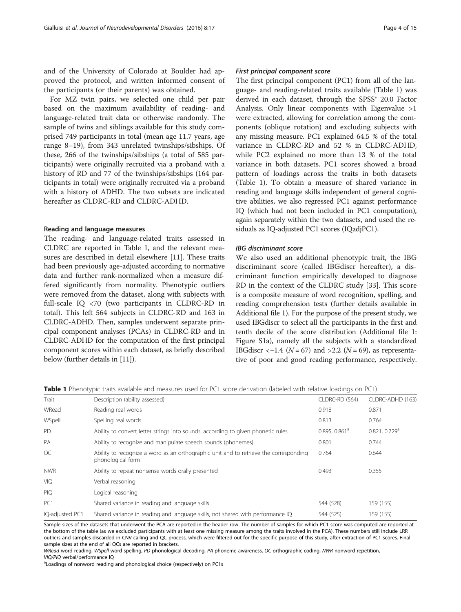and of the University of Colorado at Boulder had approved the protocol, and written informed consent of the participants (or their parents) was obtained.

For MZ twin pairs, we selected one child per pair based on the maximum availability of reading- and language-related trait data or otherwise randomly. The sample of twins and siblings available for this study comprised 749 participants in total (mean age 11.7 years, age range 8–19), from 343 unrelated twinships/sibships. Of these, 266 of the twinships/sibships (a total of 585 participants) were originally recruited via a proband with a history of RD and 77 of the twinships/sibships (164 participants in total) were originally recruited via a proband with a history of ADHD. The two subsets are indicated hereafter as CLDRC-RD and CLDRC-ADHD.

# Reading and language measures

The reading- and language-related traits assessed in CLDRC are reported in Table 1, and the relevant measures are described in detail elsewhere [11]. These traits had been previously age-adjusted according to normative data and further rank-normalized when a measure differed significantly from normality. Phenotypic outliers were removed from the dataset, along with subjects with full-scale IQ <70 (two participants in CLDRC-RD in total). This left 564 subjects in CLDRC-RD and 163 in CLDRC-ADHD. Then, samples underwent separate principal component analyses (PCAs) in CLDRC-RD and in CLDRC-ADHD for the computation of the first principal component scores within each dataset, as briefly described below (further details in [11]).

#### First principal component score

The first principal component (PC1) from all of the language- and reading-related traits available (Table 1) was derived in each dataset, through the SPSS® 20.0 Factor Analysis. Only linear components with Eigenvalue >1 were extracted, allowing for correlation among the components (oblique rotation) and excluding subjects with any missing measure. PC1 explained 64.5 % of the total variance in CLDRC-RD and 52 % in CLDRC-ADHD, while PC2 explained no more than 13 % of the total variance in both datasets. PC1 scores showed a broad pattern of loadings across the traits in both datasets (Table 1). To obtain a measure of shared variance in reading and language skills independent of general cognitive abilities, we also regressed PC1 against performance IQ (which had not been included in PC1 computation), again separately within the two datasets, and used the residuals as IQ-adjusted PC1 scores (IQadjPC1).

#### IBG discriminant score

We also used an additional phenotypic trait, the IBG discriminant score (called IBGdiscr hereafter), a discriminant function empirically developed to diagnose RD in the context of the CLDRC study [33]. This score is a composite measure of word recognition, spelling, and reading comprehension tests (further details available in Additional file 1). For the purpose of the present study, we used IBGdiscr to select all the participants in the first and tenth decile of the score distribution (Additional file 1: Figure S1a), namely all the subjects with a standardized IBGdiscr <-1.4 ( $N = 67$ ) and >2.2 ( $N = 69$ ), as representative of poor and good reading performance, respectively.

Table 1 Phenotypic traits available and measures used for PC1 score derivation (labeled with relative loadings on PC1)

| Trait           | Description (ability assessed)                                                                             | CLDRC-RD (564)   | CLDRC-ADHD (163)          |  |
|-----------------|------------------------------------------------------------------------------------------------------------|------------------|---------------------------|--|
| WRead           | Reading real words                                                                                         | 0.918            | 0.871                     |  |
| WSpell          | Spelling real words                                                                                        | 0.813            | 0.764                     |  |
| PD              | Ability to convert letter strings into sounds, according to given phonetic rules                           | 0.895, 0.861 $a$ | 0.821, 0.729 <sup>a</sup> |  |
| <b>PA</b>       | Ability to recognize and manipulate speech sounds (phonemes)                                               | 0.801            | 0.744                     |  |
| <b>OC</b>       | Ability to recognize a word as an orthographic unit and to retrieve the corresponding<br>phonological form | 0.764            | 0.644                     |  |
| <b>NWR</b>      | Ability to repeat nonsense words orally presented                                                          | 0.493            | 0.355                     |  |
| <b>VIQ</b>      | Verbal reasoning                                                                                           |                  |                           |  |
| <b>PIQ</b>      | Logical reasoning                                                                                          |                  |                           |  |
| PC <sub>1</sub> | Shared variance in reading and language skills                                                             | 544 (528)        | 159 (155)                 |  |
| IQ-adjusted PC1 | Shared variance in reading and language skills, not shared with performance IQ                             | 544 (525)        | 159 (155)                 |  |

Sample sizes of the datasets that underwent the PCA are reported in the header row. The number of samples for which PC1 score was computed are reported at the bottom of the table (as we excluded participants with at least one missing measure among the traits involved in the PCA). These numbers still include LRR outliers and samples discarded in CNV calling and QC process, which were filtered out for the specific purpose of this study, after extraction of PC1 scores. Final sample sizes at the end of all QCs are reported in brackets.

WRead word reading, WSpell word spelling, PD phonological decoding, PA phoneme awareness, OC orthographic coding, NWR nonword repetition, VIO/PIO verbal/performance IO

Loadings of nonword reading and phonological choice (respectively) on PC1s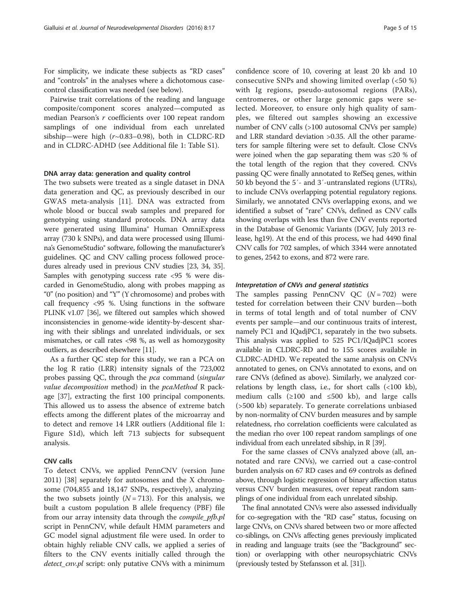For simplicity, we indicate these subjects as "RD cases" and "controls" in the analyses where a dichotomous casecontrol classification was needed (see below).

Pairwise trait correlations of the reading and language composite/component scores analyzed—computed as median Pearson's r coefficients over 100 repeat random samplings of one individual from each unrelated sibship—were high  $(r\sim 0.83-0.98)$ , both in CLDRC-RD and in CLDRC-ADHD (see Additional file 1: Table S1).

#### DNA array data: generation and quality control

The two subsets were treated as a single dataset in DNA data generation and QC, as previously described in our GWAS meta-analysis [11]. DNA was extracted from whole blood or buccal swab samples and prepared for genotyping using standard protocols. DNA array data were generated using Illumina® Human OmniExpress array (730 k SNPs), and data were processed using Illumina's GenomeStudio® software, following the manufacturer's guidelines. QC and CNV calling process followed procedures already used in previous CNV studies [23, 34, 35]. Samples with genotyping success rate <95 % were discarded in GenomeStudio, along with probes mapping as "0" (no position) and "Y" (Y chromosome) and probes with call frequency <95 %. Using functions in the software PLINK v1.07 [36], we filtered out samples which showed inconsistencies in genome-wide identity-by-descent sharing with their siblings and unrelated individuals, or sex mismatches, or call rates <98 %, as well as homozygosity outliers, as described elsewhere [11].

As a further QC step for this study, we ran a PCA on the log R ratio (LRR) intensity signals of the 723,002 probes passing QC, through the pca command (singular value decomposition method) in the pcaMethod R package [37], extracting the first 100 principal components. This allowed us to assess the absence of extreme batch effects among the different plates of the microarray and to detect and remove 14 LRR outliers (Additional file 1: Figure S1d), which left 713 subjects for subsequent analysis.

# CNV calls

To detect CNVs, we applied PennCNV (version June 2011) [38] separately for autosomes and the X chromosome (704,855 and 18,147 SNPs, respectively), analyzing the two subsets jointly  $(N = 713)$ . For this analysis, we built a custom population B allele frequency (PBF) file from our array intensity data through the *compile\_pfb.pl* script in PennCNV, while default HMM parameters and GC model signal adjustment file were used. In order to obtain highly reliable CNV calls, we applied a series of filters to the CNV events initially called through the detect\_cnv.pl script: only putative CNVs with a minimum confidence score of 10, covering at least 20 kb and 10 consecutive SNPs and showing limited overlap (<50 %) with Ig regions, pseudo-autosomal regions (PARs), centromeres, or other large genomic gaps were selected. Moreover, to ensure only high quality of samples, we filtered out samples showing an excessive number of CNV calls (>100 autosomal CNVs per sample) and LRR standard deviation >0.35. All the other parameters for sample filtering were set to default. Close CNVs were joined when the gap separating them was ≤20 % of the total length of the region that they covered. CNVs passing QC were finally annotated to RefSeq genes, within 50 kb beyond the 5′- and 3′-untranslated regions (UTRs), to include CNVs overlapping potential regulatory regions. Similarly, we annotated CNVs overlapping exons, and we identified a subset of "rare" CNVs, defined as CNV calls showing overlaps with less than five CNV events reported in the Database of Genomic Variants (DGV, July 2013 release, hg19). At the end of this process, we had 4490 final CNV calls for 702 samples, of which 3344 were annotated to genes, 2542 to exons, and 872 were rare.

#### Interpretation of CNVs and general statistics

The samples passing PennCNV QC  $(N = 702)$  were tested for correlation between their CNV burden—both in terms of total length and of total number of CNV events per sample—and our continuous traits of interest, namely PC1 and IQadjPC1, separately in the two subsets. This analysis was applied to 525 PC1/IQadjPC1 scores available in CLDRC-RD and to 155 scores available in CLDRC-ADHD. We repeated the same analysis on CNVs annotated to genes, on CNVs annotated to exons, and on rare CNVs (defined as above). Similarly, we analyzed correlations by length class, i.e., for short calls (<100 kb), medium calls (≥100 and ≤500 kb), and large calls (>500 kb) separately. To generate correlations unbiased by non-normality of CNV burden measures and by sample relatedness, rho correlation coefficients were calculated as the median rho over 100 repeat random samplings of one individual from each unrelated sibship, in R [39].

For the same classes of CNVs analyzed above (all, annotated and rare CNVs), we carried out a case-control burden analysis on 67 RD cases and 69 controls as defined above, through logistic regression of binary affection status versus CNV burden measures, over repeat random samplings of one individual from each unrelated sibship.

The final annotated CNVs were also assessed individually for co-segregation with the "RD case" status, focusing on large CNVs, on CNVs shared between two or more affected co-siblings, on CNVs affecting genes previously implicated in reading and language traits (see the "Background" section) or overlapping with other neuropsychiatric CNVs (previously tested by Stefansson et al. [31]).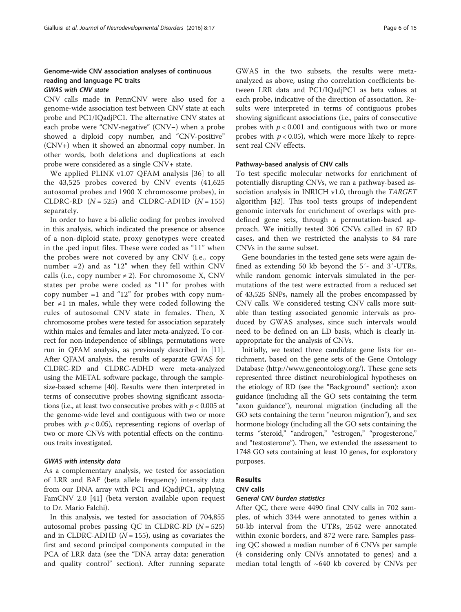# Genome-wide CNV association analyses of continuous reading and language PC traits

# GWAS with CNV state

CNV calls made in PennCNV were also used for a genome-wide association test between CNV state at each probe and PC1/IQadjPC1. The alternative CNV states at each probe were "CNV-negative" (CNV−) when a probe showed a diploid copy number, and "CNV-positive" (CNV+) when it showed an abnormal copy number. In other words, both deletions and duplications at each probe were considered as a single CNV+ state.

We applied PLINK v1.07 QFAM analysis [36] to all the 43,525 probes covered by CNV events (41,625 autosomal probes and 1900 X chromosome probes), in CLDRC-RD  $(N = 525)$  and CLDRC-ADHD  $(N = 155)$ separately.

In order to have a bi-allelic coding for probes involved in this analysis, which indicated the presence or absence of a non-diploid state, proxy genotypes were created in the .ped input files. These were coded as "11" when the probes were not covered by any CNV (i.e., copy number  $=2$ ) and as "12" when they fell within CNV calls (i.e., copy number  $\neq$  2). For chromosome X, CNV states per probe were coded as "11" for probes with copy number  $=1$  and "12" for probes with copy number ≠1 in males, while they were coded following the rules of autosomal CNV state in females. Then, X chromosome probes were tested for association separately within males and females and later meta-analyzed. To correct for non-independence of siblings, permutations were run in QFAM analysis, as previously described in [11]. After QFAM analysis, the results of separate GWAS for CLDRC-RD and CLDRC-ADHD were meta-analyzed using the METAL software package, through the samplesize-based scheme [40]. Results were then interpreted in terms of consecutive probes showing significant associations (i.e., at least two consecutive probes with  $p < 0.005$  at the genome-wide level and contiguous with two or more probes with  $p < 0.05$ ), representing regions of overlap of two or more CNVs with potential effects on the continuous traits investigated.

#### GWAS with intensity data

As a complementary analysis, we tested for association of LRR and BAF (beta allele frequency) intensity data from our DNA array with PC1 and IQadjPC1, applying FamCNV 2.0 [41] (beta version available upon request to Dr. Mario Falchi).

In this analysis, we tested for association of 704,855 autosomal probes passing QC in CLDRC-RD  $(N = 525)$ and in CLDRC-ADHD ( $N = 155$ ), using as covariates the first and second principal components computed in the PCA of LRR data (see the "DNA array data: generation and quality control" section). After running separate

GWAS in the two subsets, the results were metaanalyzed as above, using rho correlation coefficients between LRR data and PC1/IQadjPC1 as beta values at each probe, indicative of the direction of association. Results were interpreted in terms of contiguous probes showing significant associations (i.e., pairs of consecutive probes with  $p < 0.001$  and contiguous with two or more probes with  $p < 0.05$ ), which were more likely to represent real CNV effects.

#### Pathway-based analysis of CNV calls

To test specific molecular networks for enrichment of potentially disrupting CNVs, we ran a pathway-based association analysis in INRICH v1.0, through the TARGET algorithm [42]. This tool tests groups of independent genomic intervals for enrichment of overlaps with predefined gene sets, through a permutation-based approach. We initially tested 306 CNVs called in 67 RD cases, and then we restricted the analysis to 84 rare CNVs in the same subset.

Gene boundaries in the tested gene sets were again defined as extending 50 kb beyond the 5′- and 3′-UTRs, while random genomic intervals simulated in the permutations of the test were extracted from a reduced set of 43,525 SNPs, namely all the probes encompassed by CNV calls. We considered testing CNV calls more suitable than testing associated genomic intervals as produced by GWAS analyses, since such intervals would need to be defined on an LD basis, which is clearly inappropriate for the analysis of CNVs.

Initially, we tested three candidate gene lists for enrichment, based on the gene sets of the Gene Ontology Database [\(http://www.geneontology.org/\)](http://www.geneontology.org/). These gene sets represented three distinct neurobiological hypotheses on the etiology of RD (see the "Background" section): axon guidance (including all the GO sets containing the term "axon guidance"), neuronal migration (including all the GO sets containing the term "neuron migration"), and sex hormone biology (including all the GO sets containing the terms "steroid," "androgen," "estrogen," "progesterone," and "testosterone"). Then, we extended the assessment to 1748 GO sets containing at least 10 genes, for exploratory purposes.

# Results

# CNV calls

#### General CNV burden statistics

After QC, there were 4490 final CNV calls in 702 samples, of which 3344 were annotated to genes within a 50-kb interval from the UTRs, 2542 were annotated within exonic borders, and 872 were rare. Samples passing QC showed a median number of 6 CNVs per sample (4 considering only CNVs annotated to genes) and a median total length of  $~640$  kb covered by CNVs per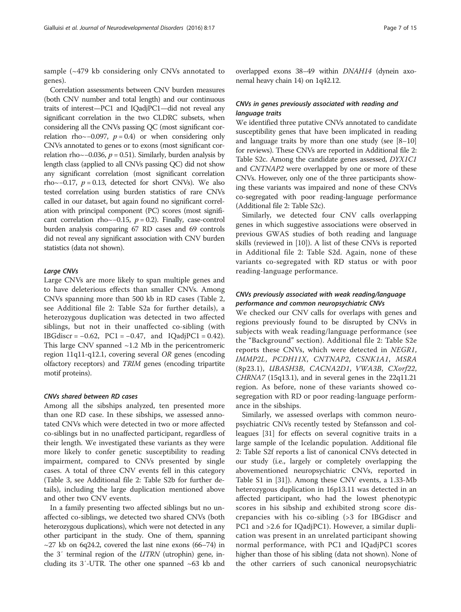sample (~479 kb considering only CNVs annotated to genes).

Correlation assessments between CNV burden measures (both CNV number and total length) and our continuous traits of interest—PC1 and IQadjPC1—did not reveal any significant correlation in the two CLDRC subsets, when considering all the CNVs passing QC (most significant correlation rho~−0.097,  $p = 0.4$ ) or when considering only CNVs annotated to genes or to exons (most significant correlation rho~−0.036,  $p = 0.51$ ). Similarly, burden analysis by length class (applied to all CNVs passing QC) did not show any significant correlation (most significant correlation rho~−0.17,  $p = 0.13$ , detected for short CNVs). We also tested correlation using burden statistics of rare CNVs called in our dataset, but again found no significant correlation with principal component (PC) scores (most significant correlation rho~−0.15,  $p = 0.2$ ). Finally, case-control burden analysis comparing 67 RD cases and 69 controls did not reveal any significant association with CNV burden statistics (data not shown).

#### Large CNVs

Large CNVs are more likely to span multiple genes and to have deleterious effects than smaller CNVs. Among CNVs spanning more than 500 kb in RD cases (Table 2, see Additional file 2: Table S2a for further details), a heterozygous duplication was detected in two affected siblings, but not in their unaffected co-sibling (with IBGdiscr =  $-0.62$ , PC1 =  $-0.47$ , and IQadjPC1 = 0.42). This large CNV spanned  $\sim$ 1.2 Mb in the pericentromeric region 11q11-q12.1, covering several OR genes (encoding olfactory receptors) and TRIM genes (encoding tripartite motif proteins).

### CNVs shared between RD cases

Among all the sibships analyzed, ten presented more than one RD case. In these sibships, we assessed annotated CNVs which were detected in two or more affected co-siblings but in no unaffected participant, regardless of their length. We investigated these variants as they were more likely to confer genetic susceptibility to reading impairment, compared to CNVs presented by single cases. A total of three CNV events fell in this category (Table 3, see Additional file 2: Table S2b for further details), including the large duplication mentioned above and other two CNV events.

In a family presenting two affected siblings but no unaffected co-siblings, we detected two shared CNVs (both heterozygous duplications), which were not detected in any other participant in the study. One of them, spanning  $\sim$ 27 kb on 6q24.2, covered the last nine exons (66–74) in the 3′ terminal region of the UTRN (utrophin) gene, including its  $3'$ -UTR. The other one spanned  $\sim 63$  kb and

overlapped exons 38–49 within DNAH14 (dynein axonemal heavy chain 14) on 1q42.12.

# CNVs in genes previously associated with reading and language traits

We identified three putative CNVs annotated to candidate susceptibility genes that have been implicated in reading and language traits by more than one study (see [8–10] for reviews). These CNVs are reported in Additional file 2: Table S2c. Among the candidate genes assessed, DYX1C1 and CNTNAP2 were overlapped by one or more of these CNVs. However, only one of the three participants showing these variants was impaired and none of these CNVs co-segregated with poor reading-language performance (Additional file 2: Table S2c).

Similarly, we detected four CNV calls overlapping genes in which suggestive associations were observed in previous GWAS studies of both reading and language skills (reviewed in [10]). A list of these CNVs is reported in Additional file 2: Table S2d. Again, none of these variants co-segregated with RD status or with poor reading-language performance.

# CNVs previously associated with weak reading/language performance and common neuropsychiatric CNVs

We checked our CNV calls for overlaps with genes and regions previously found to be disrupted by CNVs in subjects with weak reading/language performance (see the "Background" section). Additional file 2: Table S2e reports these CNVs, which were detected in NEGR1, IMMP2L, PCDH11X, CNTNAP2, CSNK1A1, MSRA (8p23.1), UBASH3B, CACNA2D1, VWA3B, CXorf22, CHRNA7 (15q13.1), and in several genes in the 22q11.21 region. As before, none of these variants showed cosegregation with RD or poor reading-language performance in the sibships.

Similarly, we assessed overlaps with common neuropsychiatric CNVs recently tested by Stefansson and colleagues [31] for effects on several cognitive traits in a large sample of the Icelandic population. Additional file 2: Table S2f reports a list of canonical CNVs detected in our study (i.e., largely or completely overlapping the abovementioned neuropsychiatric CNVs, reported in Table S1 in [31]). Among these CNV events, a 1.33-Mb heterozygous duplication in 16p13.11 was detected in an affected participant, who had the lowest phenotypic scores in his sibship and exhibited strong score discrepancies with his co-sibling (>3 for IBGdiscr and PC1 and >2.6 for IQadjPC1). However, a similar duplication was present in an unrelated participant showing normal performance, with PC1 and IQadjPC1 scores higher than those of his sibling (data not shown). None of the other carriers of such canonical neuropsychiatric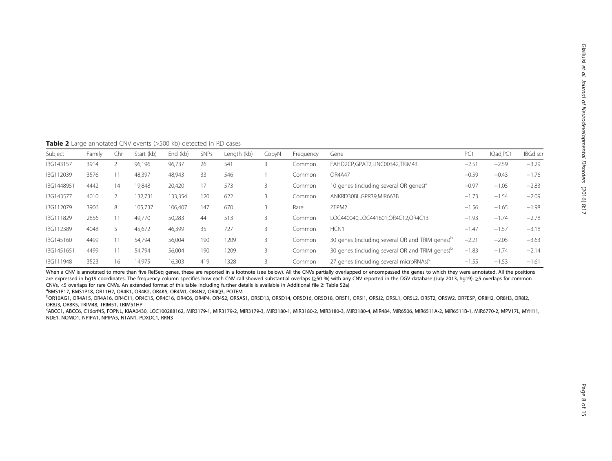**Table 2** Large annotated CNV events (>500 kb) detected in RD cases

| Subject    | Family | Chr | Start (kb) | End (kb) | <b>SNPs</b> | Length (kb) | CopyN | Frequency | Gene                                                        | PC <sub>1</sub> | IQadjPC1 | <b>IBGdiscr</b> |
|------------|--------|-----|------------|----------|-------------|-------------|-------|-----------|-------------------------------------------------------------|-----------------|----------|-----------------|
| IBG143157  | 3914   |     | 96,196     | 96,737   | 26          | 541         |       | Common    | FAHD2CP,GPAT2,LINC00342,TRIM43                              | $-2.51$         | $-2.59$  | $-3.29$         |
| IBG112039  | 3576   |     | 48,397     | 48,943   | 33          | 546         |       | Common    | OR4A47                                                      | $-0.59$         | $-0.43$  | $-1.76$         |
| IBG1448951 | 4442   | 14  | 19,848     | 20,420   | 17          | 573         | 3     | Common    | 10 genes (including several OR genes) <sup>a</sup>          | $-0.97$         | $-1.05$  | $-2.83$         |
| IBG143577  | 4010   |     | 132,731    | 133,354  | 120         | 622         |       | Common    | ANKRD30BL.GPR39.MIR663B                                     | $-1.73$         | $-1.54$  | $-2.09$         |
| IBG112079  | 3906   | 8   | 105,737    | 106,407  | 147         | 670         |       | Rare      | ZFPM2                                                       | $-1.56$         | $-1.65$  | $-1.98$         |
| IBG111829  | 2856   |     | 49,770     | 50,283   | 44          | 513         |       | Common    | LOC440040.LOC441601.OR4C12.OR4C13                           | $-1.93$         | $-1.74$  | $-2.78$         |
| IBG112389  | 4048   |     | 45,672     | 46,399   | 35          | 727         |       | Common    | HCN1                                                        | $-1.47$         | $-1.57$  | $-3.18$         |
| IBG145160  | 4499   |     | 54,794     | 56,004   | 190         | 1209        |       | Common    | 30 genes (including several OR and TRIM genes) <sup>b</sup> | $-2.21$         | $-2.05$  | $-3.63$         |
| IBG1451651 | 4499   |     | 54,794     | 56,004   | 190         | 1209        |       | Common    | 30 genes (including several OR and TRIM genes) <sup>b</sup> | $-1.83$         | $-1.74$  | $-2.14$         |
| IBG111948  | 3523   | 16  | 14,975     | 16,303   | 419         | 1328        |       | Common    | 27 genes (including several microRNAs) <sup>c</sup>         | $-1.55$         | $-1.53$  | $-1.61$         |

When a CNV is annotated to more than five RefSeq genes, these are reported in a footnote (see below). All the CNVs partially overlapped or encompassed the genes to which they were annotated. All the positions are expressed in hg19 coordinates. The frequency column specifies how each CNV call showed substantial overlaps (≥50 %) with any CNV reported in the DGV database (July 2013, hg19): ≥5 overlaps for common CNVs, <5 overlaps for rare CNVs. An extended format of this table including further details is available in Additional file 2: Table S2a) <sup>a</sup>

BMS1P17, BMS1P18, OR11H2, OR4K1, OR4K2, OR4K5, OR4M1, OR4N2, OR4Q3, POTEM

b<br>Darioagi, Oraais, Oraais, Oracii, Oracis, Oraci6, Oraca, Orapa, Orabi, Orsasi, Orsdia, Orsdia, Orsdia, Orsti, Orsi, Orsi, Orsli, Orsli, Orsli, Orsti, Orsti, Oraeli, Orahi, Orsli, Orsli, OR8J3, OR8K5, TRIM48, TRIM51, TRIM51HP

c ABCC1, ABCC6, C16orf45, FOPNL, KIAA0430, LOC100288162, MIR3179-1, MIR3179-2, MIR3179-3, MIR3180-1, MIR3180-2, MIR3180-3, MIR3180-4, MIR484, MIR6506, MIR6511A-2, MIR6511B-1, MIR6770-2, MPV17L, MYH11, NDE1, NOMO1, NPIPA1, NPIPA5, NTAN1, PDXDC1, RRN3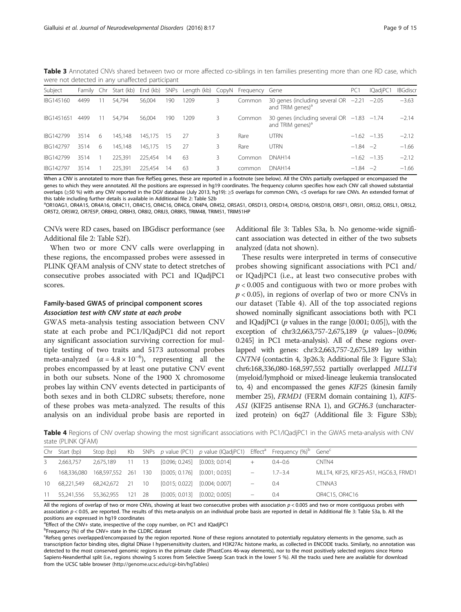| were not detected in any unaffected participant |            |    |                     |            |     |                                       |    |        |                                                                                |                 |          |                 |
|-------------------------------------------------|------------|----|---------------------|------------|-----|---------------------------------------|----|--------|--------------------------------------------------------------------------------|-----------------|----------|-----------------|
| Subject                                         | Family Chr |    | Start (kb) End (kb) |            |     | SNPs Length (kb) CopyN Frequency Gene |    |        |                                                                                | PC <sub>1</sub> | IQadjPC1 | <b>IBGdiscr</b> |
| IBG145160                                       | 4499       |    | 54.794              | 56.004     | 190 | 209                                   | 3. | Common | 30 genes (including several OR $-2.21$ $-2.05$<br>and TRIM genes) <sup>a</sup> |                 |          | $-3.63$         |
| IBG1451651                                      | 4499       | 11 | 54.794              | 56.004     | 190 | 1209                                  | 3. | Common | 30 genes (including several OR $-1.83$ $-1.74$<br>and TRIM genes) <sup>a</sup> |                 |          | $-2.14$         |
| IBG142799                                       | 3514       | 6  | 145.148             | 145.175 15 |     | - 27                                  | 3. | Rare   | <b>UTRN</b>                                                                    | $-1.62 -1.35$   |          | $-2.12$         |
| IBG142797                                       | 3514       | 6  | 145.148             | 145.175 15 |     | -27                                   | 3. | Rare   | <b>UTRN</b>                                                                    | $-1.84 -2$      |          | $-1.66$         |
| IBG142799                                       | 3514       |    | 225.391             | 225.454    | 14  | 63                                    | 3. | Common | DNAH <sub>14</sub>                                                             | $-1.62 -1.35$   |          | $-2.12$         |
| IBG142797                                       | 3514       |    | 225.391             | 225.454    | 14  | 63                                    | 3. | common | DNAH <sub>14</sub>                                                             | $-1.84 -2$      |          | $-1.66$         |

Table 3 Annotated CNVs shared between two or more affected co-siblings in ten families presenting more than one RD case, which were not detected in any unaffected participant

When a CNV is annotated to more than five RefSeq genes, these are reported in a footnote (see below). All the CNVs partially overlapped or encompassed the genes to which they were annotated. All the positions are expressed in hg19 coordinates. The frequency column specifies how each CNV call showed substantial overlaps (≥50 %) with any CNV reported in the DGV database (July 2013, hg19): ≥5 overlaps for common CNVs, <5 overlaps for rare CNVs. An extended format of this table including further details is available in Additional file 2: Table S2b

OR10AG1, OR4A15, OR4A16, OR4C11, OR4C15, OR4C16, OR4C6, OR4P4, OR4S2, OR5AS1, OR5D13, OR5D14, OR5D16, OR5D18, OR5F1, OR5I1, OR5J2, OR5L1, OR5L2, OR5T2, OR5W2, OR7E5P, OR8H2, OR8H3, OR8I2, OR8J3, OR8K5, TRIM48, TRIM51, TRIM51HP

CNVs were RD cases, based on IBGdiscr performance (see Additional file 2: Table S2f ).

When two or more CNV calls were overlapping in these regions, the encompassed probes were assessed in PLINK QFAM analysis of CNV state to detect stretches of consecutive probes associated with PC1 and IQadjPC1 scores.

# Family-based GWAS of principal component scores Association test with CNV state at each probe

GWAS meta-analysis testing association between CNV state at each probe and PC1/IQadjPC1 did not report any significant association surviving correction for multiple testing of two traits and 5173 autosomal probes meta-analyzed  $(\alpha = 4.8 \times 10^{-6})$ , representing all the probes encompassed by at least one putative CNV event in both our subsets. None of the 1900 X chromosome probes lay within CNV events detected in participants of both sexes and in both CLDRC subsets; therefore, none of these probes was meta-analyzed. The results of this analysis on an individual probe basis are reported in

Additional file 3: Tables S3a, b. No genome-wide significant association was detected in either of the two subsets analyzed (data not shown).

These results were interpreted in terms of consecutive probes showing significant associations with PC1 and/ or IQadjPC1 (i.e., at least two consecutive probes with  $p < 0.005$  and contiguous with two or more probes with  $p < 0.05$ ), in regions of overlap of two or more CNVs in our dataset (Table 4). All of the top associated regions showed nominally significant associations both with PC1 and IQadjPC1 ( $p$  values in the range [0.001; 0.05]), with the exception of chr3:2,663,757-2,675,189 (p values~[0.096; 0.245] in PC1 meta-analysis). All of these regions overlapped with genes: chr3:2,663,757-2,675,189 lay within CNTN4 (contactin 4, 3p26.3; Additional file 3: Figure S3a); chr6:168,336,080-168,597,552 partially overlapped MLLT4 (myeloid/lymphoid or mixed-lineage leukemia translocated to, 4) and encompassed the genes KIF25 (kinesin family member 25), FRMD1 (FERM domain containing 1), KIF5- AS1 (KIF25 antisense RNA 1), and GCH6.3 (uncharacterized protein) on 6q27 (Additional file 3: Figure S3b);

Table 4 Regions of CNV overlap showing the most significant associations with PC1/IQadjPC1 in the GWAS meta-analysis with CNV state (PLINK QFAM)

|       | Chr Start (bp) | Stop (bp)                          |            |                                   | Kb SNPs p value (PC1) p value (IQadjPC1) Effect <sup>a</sup> Frequency (%) <sup>b</sup> Gene <sup>c</sup> |                                 |             |                                        |
|-------|----------------|------------------------------------|------------|-----------------------------------|-----------------------------------------------------------------------------------------------------------|---------------------------------|-------------|----------------------------------------|
| $3 -$ | 2.663.757      | 2.675.189                          | $11 \t 13$ | $[0.096; 0.245]$ $[0.003; 0.014]$ |                                                                                                           | $+$                             | $0.4 - 0.6$ | CNTN4                                  |
| 6     |                | 168,336,080  168,597,552  261  130 |            | $[0.005; 0.176]$ $[0.001; 0.035]$ |                                                                                                           |                                 | $1.7 - 3.4$ | MLLT4, KIF25, KIF25-AS1, HGC6.3, FRMD1 |
|       | 10 68.221.549  | 68,242,672 21 10                   |            | $[0.015: 0.022]$ $[0.004: 0.007]$ |                                                                                                           | $\qquad \qquad -$               | 0.4         | CTNNA3                                 |
| 11    | 55.241.556     | 55.362.955 121 28                  |            |                                   | $[0.005; 0.013]$ $[0.002; 0.005]$                                                                         | $\hspace{0.1mm}-\hspace{0.1mm}$ | 0.4         | OR4C15, OR4C16                         |

All the regions of overlap of two or more CNVs, showing at least two consecutive probes with association  $p < 0.005$  and two or more contiguous probes with association  $p < 0.05$ , are reported. The results of this meta-analysis on an individual probe basis are reported in detail in Additional file 3: Table S3a, b. All the positions are expressed in hg19 coordinates

<sup>a</sup> Effect of the CNV+ state, irrespective of the copy number, on PC1 and IQadjPC1

<sup>b</sup>Frequency (%) of the CNV+ state in the CLDRC dataset

<sup>c</sup>Refseq genes overlapped/encompassed by the region reported. None of these regions annotated to potentially regulatory elements in the genome, such as transcription factor binding sites, digital DNase I hypersensitivity clusters, and H3K27Ac histone marks, as collected in ENCODE tracks. Similarly, no annotation was detected to the most conserved genomic regions in the primate clade (PhastCons 46-way elements), nor to the most positively selected regions since Homo Sapiens-Neanderthal split (i.e., regions showing S scores from Selective Sweep Scan track in the lower 5 %). All the tracks used here are available for download from the UCSC table browser [\(http://genome.ucsc.edu/cgi-bin/hgTables\)](http://genome.ucsc.edu/cgi-bin/hgTables)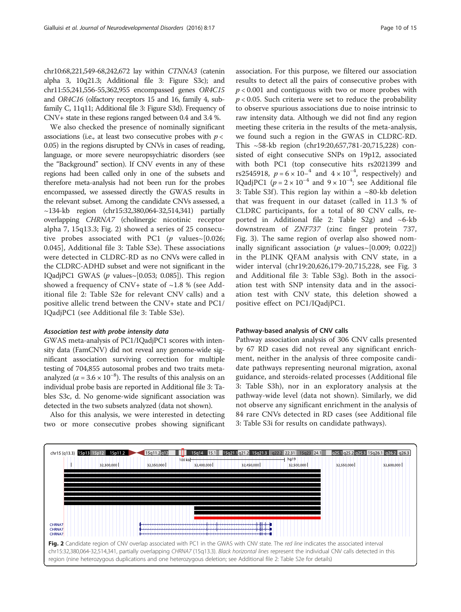chr10:68,221,549-68,242,672 lay within CTNNA3 (catenin alpha 3, 10q21.3; Additional file 3: Figure S3c); and chr11:55,241,556-55,362,955 encompassed genes OR4C15 and OR4C16 (olfactory receptors 15 and 16, family 4, subfamily C, 11q11; Additional file 3: Figure S3d). Frequency of CNV+ state in these regions ranged between 0.4 and 3.4 %.

We also checked the presence of nominally significant associations (i.e., at least two consecutive probes with  $p <$ 0.05) in the regions disrupted by CNVs in cases of reading, language, or more severe neuropsychiatric disorders (see the "Background" section). If CNV events in any of these regions had been called only in one of the subsets and therefore meta-analysis had not been run for the probes encompassed, we assessed directly the GWAS results in the relevant subset. Among the candidate CNVs assessed, a ~134-kb region (chr15:32,380,064-32,514,341) partially overlapping CHRNA7 (cholinergic nicotinic receptor alpha 7, 15q13.3; Fig. 2) showed a series of 25 consecutive probes associated with PC1 (p values $\sim$ [0.026; 0.045], Additional file 3: Table S3e). These associations were detected in CLDRC-RD as no CNVs were called in the CLDRC-ADHD subset and were not significant in the IQadjPC1 GWAS ( $p$  values~[0.053; 0.085]). This region showed a frequency of CNV+ state of  $\sim$ 1.8 % (see Additional file 2: Table S2e for relevant CNV calls) and a positive allelic trend between the CNV+ state and PC1/ IQadjPC1 (see Additional file 3: Table S3e).

# Association test with probe intensity data

GWAS meta-analysis of PC1/IQadjPC1 scores with intensity data (FamCNV) did not reveal any genome-wide significant association surviving correction for multiple testing of 704,855 autosomal probes and two traits metaanalyzed ( $\alpha = 3.6 \times 10^{-8}$ ). The results of this analysis on an individual probe basis are reported in Additional file 3: Tables S3c, d. No genome-wide significant association was detected in the two subsets analyzed (data not shown).

Also for this analysis, we were interested in detecting two or more consecutive probes showing significant association. For this purpose, we filtered our association results to detect all the pairs of consecutive probes with  $p < 0.001$  and contiguous with two or more probes with  $p < 0.05$ . Such criteria were set to reduce the probability to observe spurious associations due to noise intrinsic to raw intensity data. Although we did not find any region meeting these criteria in the results of the meta-analysis, we found such a region in the GWAS in CLDRC-RD. This ~58-kb region (chr19:20,657,781-20,715,228) consisted of eight consecutive SNPs on 19p12, associated with both PC1 (top consecutive hits rs2021399 and rs2545918,  $p = 6 \times 10^{-4}$  and  $4 \times 10^{-4}$ , respectively) and IQadjPC1 ( $p = 2 \times 10^{-4}$  and  $9 \times 10^{-4}$ ; see Additional file 3: Table S3f). This region lay within a  $\sim$ 80-kb deletion that was frequent in our dataset (called in 11.3 % of CLDRC participants, for a total of 80 CNV calls, reported in Additional file 2: Table S2g) and  $~6$ -kb downstream of ZNF737 (zinc finger protein 737, Fig. 3). The same region of overlap also showed nominally significant association ( $p$  values~[0.009; 0.022]) in the PLINK QFAM analysis with CNV state, in a wider interval (chr19:20,626,179-20,715,228, see Fig. 3 and Additional file 3: Table S3g). Both in the association test with SNP intensity data and in the association test with CNV state, this deletion showed a positive effect on PC1/IQadjPC1.

#### Pathway-based analysis of CNV calls

Pathway association analysis of 306 CNV calls presented by 67 RD cases did not reveal any significant enrichment, neither in the analysis of three composite candidate pathways representing neuronal migration, axonal guidance, and steroids-related processes (Additional file 3: Table S3h), nor in an exploratory analysis at the pathway-wide level (data not shown). Similarly, we did not observe any significant enrichment in the analysis of 84 rare CNVs detected in RD cases (see Additional file 3: Table S3i for results on candidate pathways).

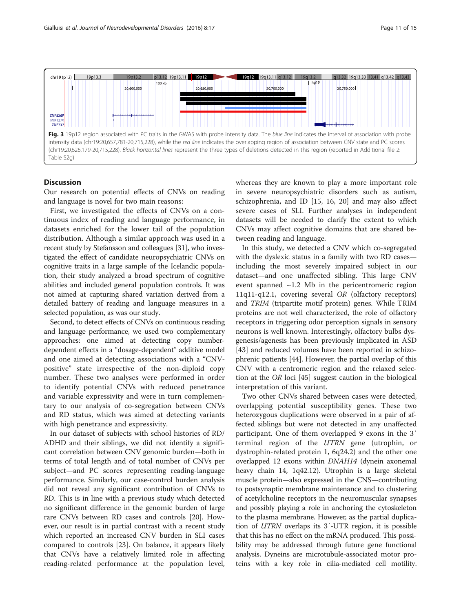

## Discussion

Our research on potential effects of CNVs on reading and language is novel for two main reasons:

First, we investigated the effects of CNVs on a continuous index of reading and language performance, in datasets enriched for the lower tail of the population distribution. Although a similar approach was used in a recent study by Stefansson and colleagues [31], who investigated the effect of candidate neuropsychiatric CNVs on cognitive traits in a large sample of the Icelandic population, their study analyzed a broad spectrum of cognitive abilities and included general population controls. It was not aimed at capturing shared variation derived from a detailed battery of reading and language measures in a selected population, as was our study.

Second, to detect effects of CNVs on continuous reading and language performance, we used two complementary approaches: one aimed at detecting copy numberdependent effects in a "dosage-dependent" additive model and one aimed at detecting associations with a "CNVpositive" state irrespective of the non-diploid copy number. These two analyses were performed in order to identify potential CNVs with reduced penetrance and variable expressivity and were in turn complementary to our analysis of co-segregation between CNVs and RD status, which was aimed at detecting variants with high penetrance and expressivity.

In our dataset of subjects with school histories of RD/ ADHD and their siblings, we did not identify a significant correlation between CNV genomic burden—both in terms of total length and of total number of CNVs per subject—and PC scores representing reading-language performance. Similarly, our case-control burden analysis did not reveal any significant contribution of CNVs to RD. This is in line with a previous study which detected no significant difference in the genomic burden of large rare CNVs between RD cases and controls [20]. However, our result is in partial contrast with a recent study which reported an increased CNV burden in SLI cases compared to controls [23]. On balance, it appears likely that CNVs have a relatively limited role in affecting reading-related performance at the population level, whereas they are known to play a more important role in severe neuropsychiatric disorders such as autism, schizophrenia, and ID [15, 16, 20] and may also affect severe cases of SLI. Further analyses in independent datasets will be needed to clarify the extent to which CNVs may affect cognitive domains that are shared between reading and language.

In this study, we detected a CNV which co-segregated with the dyslexic status in a family with two RD cases including the most severely impaired subject in our dataset—and one unaffected sibling. This large CNV event spanned  $\sim$ 1.2 Mb in the pericentromeric region 11q11-q12.1, covering several OR (olfactory receptors) and TRIM (tripartite motif protein) genes. While TRIM proteins are not well characterized, the role of olfactory receptors in triggering odor perception signals in sensory neurons is well known. Interestingly, olfactory bulbs dysgenesis/agenesis has been previously implicated in ASD [43] and reduced volumes have been reported in schizophrenic patients [44]. However, the partial overlap of this CNV with a centromeric region and the relaxed selection at the OR loci [45] suggest caution in the biological interpretation of this variant.

Two other CNVs shared between cases were detected, overlapping potential susceptibility genes. These two heterozygous duplications were observed in a pair of affected siblings but were not detected in any unaffected participant. One of them overlapped 9 exons in the 3′ terminal region of the UTRN gene (utrophin, or dystrophin-related protein 1, 6q24.2) and the other one overlapped 12 exons within DNAH14 (dynein axonemal heavy chain 14, 1q42.12). Utrophin is a large skeletal muscle protein—also expressed in the CNS—contributing to postsynaptic membrane maintenance and to clustering of acetylcholine receptors in the neuromuscular synapses and possibly playing a role in anchoring the cytoskeleton to the plasma membrane. However, as the partial duplication of UTRN overlaps its 3′-UTR region, it is possible that this has no effect on the mRNA produced. This possibility may be addressed through future gene functional analysis. Dyneins are microtubule-associated motor proteins with a key role in cilia-mediated cell motility.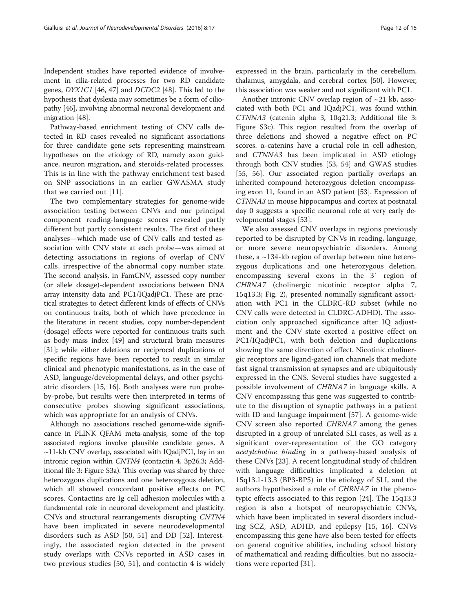Independent studies have reported evidence of involvement in cilia-related processes for two RD candidate genes, DYX1C1 [46, 47] and DCDC2 [48]. This led to the hypothesis that dyslexia may sometimes be a form of ciliopathy [46], involving abnormal neuronal development and migration [48].

Pathway-based enrichment testing of CNV calls detected in RD cases revealed no significant associations for three candidate gene sets representing mainstream hypotheses on the etiology of RD, namely axon guidance, neuron migration, and steroids-related processes. This is in line with the pathway enrichment test based on SNP associations in an earlier GWASMA study that we carried out [11].

The two complementary strategies for genome-wide association testing between CNVs and our principal component reading-language scores revealed partly different but partly consistent results. The first of these analyses—which made use of CNV calls and tested association with CNV state at each probe—was aimed at detecting associations in regions of overlap of CNV calls, irrespective of the abnormal copy number state. The second analysis, in FamCNV, assessed copy number (or allele dosage)-dependent associations between DNA array intensity data and PC1/IQadjPC1. These are practical strategies to detect different kinds of effects of CNVs on continuous traits, both of which have precedence in the literature: in recent studies, copy number-dependent (dosage) effects were reported for continuous traits such as body mass index [49] and structural brain measures [31]; while either deletions or reciprocal duplications of specific regions have been reported to result in similar clinical and phenotypic manifestations, as in the case of ASD, language/developmental delays, and other psychiatric disorders [15, 16]. Both analyses were run probeby-probe, but results were then interpreted in terms of consecutive probes showing significant associations, which was appropriate for an analysis of CNVs.

Although no associations reached genome-wide significance in PLINK QFAM meta-analysis, some of the top associated regions involve plausible candidate genes. A  $\sim$ 11-kb CNV overlap, associated with IQadjPC1, lay in an intronic region within CNTN4 (contactin 4, 3p26.3; Additional file 3: Figure S3a). This overlap was shared by three heterozygous duplications and one heterozygous deletion, which all showed concordant positive effects on PC scores. Contactins are Ig cell adhesion molecules with a fundamental role in neuronal development and plasticity. CNVs and structural rearrangements disrupting CNTN4 have been implicated in severe neurodevelopmental disorders such as ASD [50, 51] and DD [52]. Interestingly, the associated region detected in the present study overlaps with CNVs reported in ASD cases in two previous studies [50, 51], and contactin 4 is widely expressed in the brain, particularly in the cerebellum, thalamus, amygdala, and cerebral cortex [50]. However, this association was weaker and not significant with PC1.

Another intronic CNV overlap region of ~21 kb, associated with both PC1 and IQadjPC1, was found within CTNNA3 (catenin alpha 3, 10q21.3; Additional file 3: Figure S3c). This region resulted from the overlap of three deletions and showed a negative effect on PC scores. α-catenins have a crucial role in cell adhesion, and CTNNA3 has been implicated in ASD etiology through both CNV studies [53, 54] and GWAS studies [55, 56]. Our associated region partially overlaps an inherited compound heterozygous deletion encompassing exon 11, found in an ASD patient [53]. Expression of CTNNA3 in mouse hippocampus and cortex at postnatal day 0 suggests a specific neuronal role at very early developmental stages [53].

We also assessed CNV overlaps in regions previously reported to be disrupted by CNVs in reading, language, or more severe neuropsychiatric disorders. Among these, a ~134-kb region of overlap between nine heterozygous duplications and one heterozygous deletion, encompassing several exons in the 3′ region of CHRNA7 (cholinergic nicotinic receptor alpha 7, 15q13.3; Fig. 2), presented nominally significant association with PC1 in the CLDRC-RD subset (while no CNV calls were detected in CLDRC-ADHD). The association only approached significance after IQ adjustment and the CNV state exerted a positive effect on PC1/IQadjPC1, with both deletion and duplications showing the same direction of effect. Nicotinic cholinergic receptors are ligand-gated ion channels that mediate fast signal transmission at synapses and are ubiquitously expressed in the CNS. Several studies have suggested a possible involvement of CHRNA7 in language skills. A CNV encompassing this gene was suggested to contribute to the disruption of synaptic pathways in a patient with ID and language impairment [57]. A genome-wide CNV screen also reported CHRNA7 among the genes disrupted in a group of unrelated SLI cases, as well as a significant over-representation of the GO category acetylcholine binding in a pathway-based analysis of these CNVs [23]. A recent longitudinal study of children with language difficulties implicated a deletion at 15q13.1-13.3 (BP3-BP5) in the etiology of SLI, and the authors hypothesized a role of CHRNA7 in the phenotypic effects associated to this region [24]. The 15q13.3 region is also a hotspot of neuropsychiatric CNVs, which have been implicated in several disorders including SCZ, ASD, ADHD, and epilepsy [15, 16]. CNVs encompassing this gene have also been tested for effects on general cognitive abilities, including school history of mathematical and reading difficulties, but no associations were reported [31].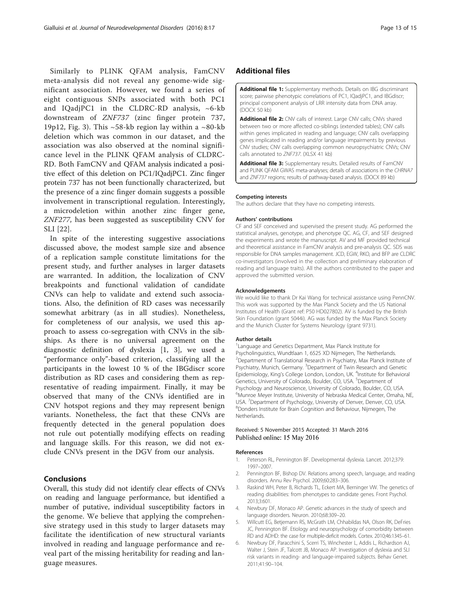Similarly to PLINK QFAM analysis, FamCNV meta-analysis did not reveal any genome-wide significant association. However, we found a series of eight contiguous SNPs associated with both PC1 and IQadjPC1 in the CLDRC-RD analysis, ~6-kb downstream of ZNF737 (zinc finger protein 737, 19p12, Fig. 3). This  $\sim$  58-kb region lay within a  $\sim$  80-kb deletion which was common in our dataset, and the association was also observed at the nominal significance level in the PLINK QFAM analysis of CLDRC-RD. Both FamCNV and QFAM analysis indicated a positive effect of this deletion on PC1/IQadjPC1. Zinc finger protein 737 has not been functionally characterized, but the presence of a zinc finger domain suggests a possible involvement in transcriptional regulation. Interestingly, a microdeletion within another zinc finger gene, ZNF277, has been suggested as susceptibility CNV for SLI [22].

In spite of the interesting suggestive associations discussed above, the modest sample size and absence of a replication sample constitute limitations for the present study, and further analyses in larger datasets are warranted. In addition, the localization of CNV breakpoints and functional validation of candidate CNVs can help to validate and extend such associations. Also, the definition of RD cases was necessarily somewhat arbitrary (as in all studies). Nonetheless, for completeness of our analysis, we used this approach to assess co-segregation with CNVs in the sibships. As there is no universal agreement on the diagnostic definition of dyslexia [1, 3], we used a "performance only"-based criterion, classifying all the participants in the lowest 10 % of the IBGdiscr score distribution as RD cases and considering them as representative of reading impairment. Finally, it may be observed that many of the CNVs identified are in CNV hotspot regions and they may represent benign variants. Nonetheless, the fact that these CNVs are frequently detected in the general population does not rule out potentially modifying effects on reading and language skills. For this reason, we did not exclude CNVs present in the DGV from our analysis.

#### Conclusions

Overall, this study did not identify clear effects of CNVs on reading and language performance, but identified a number of putative, individual susceptibility factors in the genome. We believe that applying the comprehensive strategy used in this study to larger datasets may facilitate the identification of new structural variants involved in reading and language performance and reveal part of the missing heritability for reading and language measures.

# Additional files

[Additional file 1:](dx.doi.org/10.1186/s11689-016-9147-8) Supplementary methods. Details on IBG discriminant score; pairwise phenotypic correlations of PC1, IQadjPC1, and IBGdiscr; principal component analysis of LRR intensity data from DNA array. (DOCX 50 kb)

[Additional file 2:](dx.doi.org/10.1186/s11689-016-9147-8) CNV calls of interest. Large CNV calls; CNVs shared between two or more affected co-siblings (extended tables); CNV calls within genes implicated in reading and language; CNV calls overlapping genes implicated in reading and/or language impairments by previous CNV studies; CNV calls overlapping common neuropsychiatric CNVs; CNV calls annotated to ZNF737. (XLSX 41 kb)

[Additional file 3:](dx.doi.org/10.1186/s11689-016-9147-8) Supplementary results. Detailed results of FamCNV and PLINK QFAM GWAS meta-analyses; details of associations in the CHRNA7 and ZNF737 regions; results of pathway-based analysis. (DOCX 89 kb)

#### Competing interests

The authors declare that they have no competing interests.

#### Authors' contributions

CF and SEF conceived and supervised the present study. AG performed the statistical analyses, genotype, and phenotype QC. AG, CF, and SEF designed the experiments and wrote the manuscript. AV and MF provided technical and theoretical assistance in FamCNV analysis and pre-analysis QC. SDS was responsible for DNA samples management. JCD, EGW, RKO, and BFP are CLDRC co-investigators (involved in the collection and preliminary elaboration of reading and language traits). All the authors contributed to the paper and approved the submitted version.

#### Acknowledgements

We would like to thank Dr Kai Wang for technical assistance using PennCNV. This work was supported by the Max Planck Society and the US National Institutes of Health (Grant ref: P50 HD027802). AV is funded by the British Skin Foundation (grant 5044i). AG was funded by the Max Planck Society and the Munich Cluster for Systems Neurology (grant 9731).

#### Author details

<sup>1</sup> Language and Genetics Department, Max Planck Institute for Psycholinguistics, Wundtlaan 1, 6525 XD Nijmegen, The Netherlands. <sup>2</sup> Department of Translational Research in Psychiatry, Max Planck Institute of Psychiatry, Munich, Germany. <sup>3</sup>Department of Twin Research and Genetic Epidemiology, King's College London, London, UK. <sup>4</sup>Institute for Behavioral Genetics, University of Colorado, Boulder, CO, USA. <sup>5</sup>Department of Psychology and Neuroscience, University of Colorado, Boulder, CO, USA. <sup>6</sup>Munroe Meyer Institute, University of Nebraska Medical Center, Omaha, NE USA. <sup>7</sup> Department of Psychology, University of Denver, Denver, CO, USA. <sup>8</sup> Denderry lessing Compilion and Behaviour. Nijmogen The <sup>8</sup>Donders Institute for Brain Cognition and Behaviour, Nijmegen, The **Netherlands** 

#### Received: 5 November 2015 Accepted: 31 March 2016 Published online: 15 May 2016

#### References

- 1. Peterson RL, Pennington BF. Developmental dyslexia. Lancet. 2012;379: 1997–2007.
- 2. Pennington BF, Bishop DV. Relations among speech, language, and reading disorders. Annu Rev Psychol. 2009;60:283–306.
- 3. Raskind WH, Peter B, Richards TL, Eckert MA, Berninger VW. The genetics of reading disabilities: from phenotypes to candidate genes. Front Psychol. 2013;3:601.
- 4. Newbury DF, Monaco AP. Genetic advances in the study of speech and language disorders. Neuron. 2010;68:309–20.
- 5. Willcutt EG, Betjemann RS, McGrath LM, Chhabildas NA, Olson RK, DeFries JC, Pennington BF. Etiology and neuropsychology of comorbidity between RD and ADHD: the case for multiple-deficit models. Cortex. 2010;46:1345–61.
- 6. Newbury DF, Paracchini S, Scerri TS, Winchester L, Addis L, Richardson AJ, Walter J, Stein JF, Talcott JB, Monaco AP. Investigation of dyslexia and SLI risk variants in reading- and language-impaired subjects. Behav Genet. 2011;41:90–104.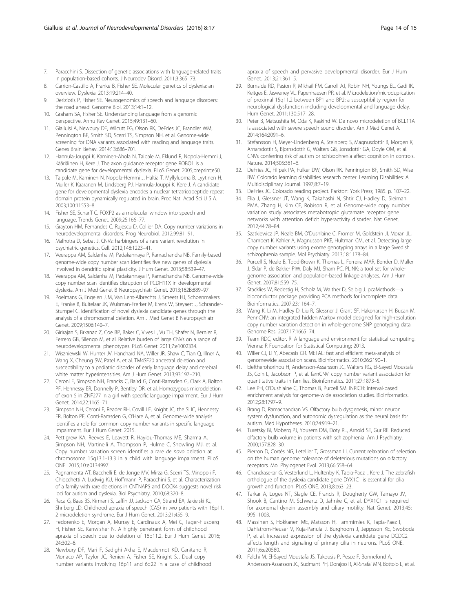- 7. Paracchini S. Dissection of genetic associations with language-related traits in population-based cohorts. J Neurodev Disord. 2011;3:365–73.
- 8. Carrion-Castillo A, Franke B, Fisher SE. Molecular genetics of dyslexia: an overview. Dyslexia. 2013;19:214–40.
- 9. Deriziotis P, Fisher SE. Neurogenomics of speech and language disorders: the road ahead. Genome Biol. 2013;14:1–12.
- 10. Graham SA, Fisher SE. Understanding language from a genomic perspective. Annu Rev Genet. 2015;49:131–60.
- 11. Gialluisi A, Newbury DF, Wilcutt EG, Olson RK, DeFries JC, Brandler WM, Pennington BF, Smith SD, Scerri TS, Simpson NH, et al. Genome-wide screening for DNA variants associated with reading and language traits. Genes Brain Behav. 2014;13:686–701.
- 12. Hannula-Jouppi K, Kaminen-Ahola N, Taipale M, Eklund R, Nopola-Hemmi J, Kääriäinen H, Kere J. The axon guidance receptor gene ROBO1 is a candidate gene for developmental dyslexia. PLoS Genet. 2005;preprint:e50.
- 13. Taipale M, Kaminen N, Nopola-Hemmi J, Haltia T, Myllyluoma B, Lyytinen H, Muller K, Kaaranen M, Lindsberg PJ, Hannula-Jouppi K, Kere J. A candidate gene for developmental dyslexia encodes a nuclear tetratricopeptide repeat domain protein dynamically regulated in brain. Proc Natl Acad Sci U S A. 2003;100:11553–8.
- 14. Fisher SE, Scharff C. FOXP2 as a molecular window into speech and language. Trends Genet. 2009;25:166–77.
- 15. Grayton HM, Fernandes C, Rujescu D, Collier DA. Copy number variations in neurodevelopmental disorders. Prog Neurobiol. 2012;99:81–91.
- 16. Malhotra D, Sebat J. CNVs: harbingers of a rare variant revolution in psychiatric genetics. Cell. 2012;148:1223–41.
- 17. Veerappa AM, Saldanha M, Padakannaya P, Ramachandra NB. Family-based genome-wide copy number scan identifies five new genes of dyslexia involved in dendritic spinal plasticity. J Hum Genet. 2013;58:539–47.
- 18. Veerappa AM, Saldanha M, Padakannaya P, Ramachandra NB. Genome-wide copy number scan identifies disruption of PCDH11X in developmental dyslexia. Am J Med Genet B Neuropsychiatr Genet. 2013;162B:889–97.
- 19. Poelmans G, Engelen JJM, Van Lent-Albrechts J, Smeets HJ, Schoenmakers E, Franke B, Buitelaar JK, Wuisman-Frerker M, Erens W, Steyaert J, Schrander-Stumpel C. Identification of novel dyslexia candidate genes through the analysis of a chromosomal deletion. Am J Med Genet B Neuropsychiatr Genet. 2009;150B:140–7.
- 20. Girirajan S, Brkanac Z, Coe BP, Baker C, Vives L, Vu TH, Shafer N, Bernier R, Ferrero GB, Silengo M, et al. Relative burden of large CNVs on a range of neurodevelopmental phenotypes. PLoS Genet. 2011;7:e1002334.
- 21. Wiszniewski W, Hunter JV, Hanchard NA, Willer JR, Shaw C, Tian Q, Illner A, Wang X, Cheung SW, Patel A, et al. TM4SF20 ancestral deletion and susceptibility to a pediatric disorder of early language delay and cerebral white matter hyperintensities. Am J Hum Genet. 2013;93:197–210.
- 22. Ceroni F, Simpson NH, Francks C, Baird G, Conti-Ramsden G, Clark A, Bolton PF, Hennessy ER, Donnelly P, Bentley DR, et al. Homozygous microdeletion of exon 5 in ZNF277 in a girl with specific language impairment. Eur J Hum Genet. 2014;22:1165–71.
- 23. Simpson NH, Ceroni F, Reader RH, Covill LE, Knight JC, the SLIC, Hennessy ER, Bolton PF, Conti-Ramsden G, O'Hare A, et al. Genome-wide analysis identifies a role for common copy number variants in specific language impairment. Eur J Hum Genet. 2015.
- 24. Pettigrew KA, Reeves E, Leavett R, Hayiou-Thomas ME, Sharma A, Simpson NH, Martinelli A, Thompson P, Hulme C, Snowling MJ, et al. Copy number variation screen identifies a rare de novo deletion at chromosome 15q13.1-13.3 in a child with language impairment. PLoS ONE. 2015;10:e0134997.
- 25. Pagnamenta AT, Bacchelli E, de Jonge MV, Mirza G, Scerri TS, Minopoli F, Chiocchetti A, Ludwig KU, Hoffmann P, Paracchini S, et al. Characterization of a family with rare deletions in CNTNAP5 and DOCK4 suggests novel risk loci for autism and dyslexia. Biol Psychiatry. 2010;68:320–8.
- 26. Raca G, Baas BS, Kirmani S, Laffin JJ, Jackson CA, Strand EA, Jakielski KJ, Shriberg LD. Childhood apraxia of speech (CAS) in two patients with 16p11. 2 microdeletion syndrome. Eur J Hum Genet. 2013;21:455–9.
- 27. Fedorenko E, Morgan A, Murray E, Cardinaux A, Mei C, Tager-Flusberg H, Fisher SE, Kanwisher N. A highly penetrant form of childhood apraxia of speech due to deletion of 16p11.2. Eur J Hum Genet. 2016; 24:302–6.
- 28. Newbury DF, Mari F, Sadighi Akha E, Macdermot KD, Canitano R, Monaco AP, Taylor JC, Renieri A, Fisher SE, Knight SJ. Dual copy number variants involving 16p11 and 6q22 in a case of childhood

apraxia of speech and pervasive developmental disorder. Eur J Hum Genet. 2013;21:361–5.

- 29. Burnside RD, Pasion R, Mikhail FM, Carroll AJ, Robin NH, Youngs EL, Gadi IK, Keitges E, Jaswaney VL, Papenhausen PR, et al. Microdeletion/microduplication of proximal 15q11.2 between BP1 and BP2: a susceptibility region for neurological dysfunction including developmental and language delay. Hum Genet. 2011;130:517–28.
- 30. Peter B, Matsushita M, Oda K, Raskind W. De novo microdeletion of BCL11A is associated with severe speech sound disorder. Am J Med Genet A. 2014;164:2091–6.
- 31. Stefansson H, Meyer-Lindenberg A, Steinberg S, Magnusdottir B, Morgen K, Arnarsdottir S, Bjornsdottir G, Walters GB, Jonsdottir GA, Doyle OM, et al. CNVs conferring risk of autism or schizophrenia affect cognition in controls. Nature. 2014;505:361–6.
- 32. DeFries JC, Filipek PA, Fulker DW, Olson RK, Pennington BF, Smith SD, Wise BW. Colorado learning disabilities research center. Learning Disabilities: A Multidisciplinary Journal. 1997;8:7–19.
- 33. DeFries JC. Colorado reading project. Parkton: York Press; 1985. p. 107–22.
- 34. Elia J, Glessner JT, Wang K, Takahashi N, Shtir CJ, Hadley D, Sleiman PMA, Zhang H, Kim CE, Robison R, et al. Genome-wide copy number variation study associates metabotropic glutamate receptor gene networks with attention deficit hyperactivity disorder. Nat Genet. 2012;44:78–84.
- 35. Szatkiewicz JP, Neale BM, O'Dushlaine C, Fromer M, Goldstein JI, Moran JL, Chambert K, Kahler A, Magnusson PKE, Hultman CM, et al. Detecting large copy number variants using exome genotyping arrays in a large Swedish schizophrenia sample. Mol Psychiatry. 2013;18:1178–84.
- 36. Purcell S, Neale B, Todd-Brown K, Thomas L, Ferreira MAR, Bender D, Maller J, Sklar P, de Bakker PIW, Daly MJ, Sham PC. PLINK: a tool set for wholegenome association and population-based linkage analyses. Am J Hum Genet. 2007;81:559–75.
- 37. Stacklies W, Redestig H, Scholz M, Walther D, Selbig J. pcaMethods—a bioconductor package providing PCA methods for incomplete data. Bioinformatics. 2007;23:1164–7.
- 38. Wang K, Li M, Hadley D, Liu R, Glessner J, Grant SF, Hakonarson H, Bucan M. PennCNV: an integrated hidden Markov model designed for high-resolution copy number variation detection in whole-genome SNP genotyping data. Genome Res. 2007;17:1665–74.
- 39. Team RDC, editor. R: A language and environment for statistical computing. Vienna: R Foundation for Statistical Computing; 2013.
- 40. Willer CJ, Li Y, Abecasis GR. METAL: fast and efficient meta-analysis of genomewide association scans. Bioinformatics. 2010;26:2190–1.
- 41. Eleftherohorinou H, Andersson-Assarsson JC, Walters RG, El-Sayed Moustafa JS, Coin L, Jacobson P, et al. famCNV: copy number variant association for quantitative traits in families. Bioinformatics. 2011;27:1873–5.
- 42. Lee PH, O'Dushlaine C, Thomas B, Purcell SM. INRICH: interval-based enrichment analysis for genome-wide association studies. Bioinformatics. 2012;28:1797–9.
- 43. Brang D, Ramachandran VS. Olfactory bulb dysgenesis, mirror neuron system dysfunction, and autonomic dysregulation as the neural basis for autism. Med Hypotheses. 2010;74:919–21.
- 44. Turetsky BI, Moberg PJ, Yousem DM, Doty RL, Arnold SE, Gur RE. Reduced olfactory bulb volume in patients with schizophrenia. Am J Psychiatry. 2000;157:828–30.
- 45. Pierron D, Cortés NG, Letellier T, Grossman LI. Current relaxation of selection on the human genome: tolerance of deleterious mutations on olfactory receptors. Mol Phylogenet Evol. 2013;66:558–64.
- 46. Chandrasekar G, Vesterlund L, Hultenby K, Tapia-Paez I, Kere J. The zebrafish orthologue of the dyslexia candidate gene DYX1C1 is essential for cilia growth and function. PLoS ONE. 2013;8:e63123.
- 47. Tarkar A, Loges NT, Slagle CE, Francis R, Dougherty GW, Tamayo JV, Shook B, Cantino M, Schwartz D, Jahnke C, et al. DYX1C1 is required for axonemal dynein assembly and ciliary motility. Nat Genet. 2013;45: 995–1003.
- 48. Massinen S, Hokkanen ME, Matsson H, Tammimies K, Tapia-Paez I, Dahlstrom-Heuser V, Kuja-Panula J, Burghoorn J, Jeppsson KE, Swoboda P, et al. Increased expression of the dyslexia candidate gene DCDC2 affects length and signaling of primary cilia in neurons. PLoS ONE. 2011;6:e20580.
- 49. Falchi M, El-Sayed Moustafa JS, Takousis P, Pesce F, Bonnefond A, Andersson-Assarsson JC, Sudmant PH, Dorajoo R, Al-Shafai MN, Bottolo L, et al.